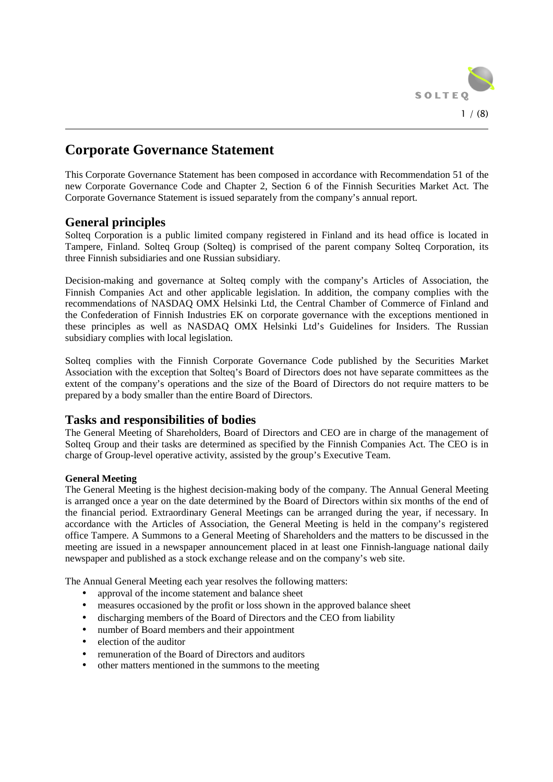

# **Corporate Governance Statement**

This Corporate Governance Statement has been composed in accordance with Recommendation 51 of the new Corporate Governance Code and Chapter 2, Section 6 of the Finnish Securities Market Act. The Corporate Governance Statement is issued separately from the company's annual report.

# **General principles**

Solteq Corporation is a public limited company registered in Finland and its head office is located in Tampere, Finland. Solteq Group (Solteq) is comprised of the parent company Solteq Corporation, its three Finnish subsidiaries and one Russian subsidiary.

Decision-making and governance at Solteq comply with the company's Articles of Association, the Finnish Companies Act and other applicable legislation. In addition, the company complies with the recommendations of NASDAQ OMX Helsinki Ltd, the Central Chamber of Commerce of Finland and the Confederation of Finnish Industries EK on corporate governance with the exceptions mentioned in these principles as well as NASDAQ OMX Helsinki Ltd's Guidelines for Insiders. The Russian subsidiary complies with local legislation.

Solteq complies with the Finnish Corporate Governance Code published by the Securities Market Association with the exception that Solteq's Board of Directors does not have separate committees as the extent of the company's operations and the size of the Board of Directors do not require matters to be prepared by a body smaller than the entire Board of Directors.

# **Tasks and responsibilities of bodies**

The General Meeting of Shareholders, Board of Directors and CEO are in charge of the management of Solteq Group and their tasks are determined as specified by the Finnish Companies Act. The CEO is in charge of Group-level operative activity, assisted by the group's Executive Team.

# **General Meeting**

The General Meeting is the highest decision-making body of the company. The Annual General Meeting is arranged once a year on the date determined by the Board of Directors within six months of the end of the financial period. Extraordinary General Meetings can be arranged during the year, if necessary. In accordance with the Articles of Association, the General Meeting is held in the company's registered office Tampere. A Summons to a General Meeting of Shareholders and the matters to be discussed in the meeting are issued in a newspaper announcement placed in at least one Finnish-language national daily newspaper and published as a stock exchange release and on the company's web site.

The Annual General Meeting each year resolves the following matters:

- approval of the income statement and balance sheet
- measures occasioned by the profit or loss shown in the approved balance sheet
- discharging members of the Board of Directors and the CEO from liability
- number of Board members and their appointment
- election of the auditor
- remuneration of the Board of Directors and auditors
- other matters mentioned in the summons to the meeting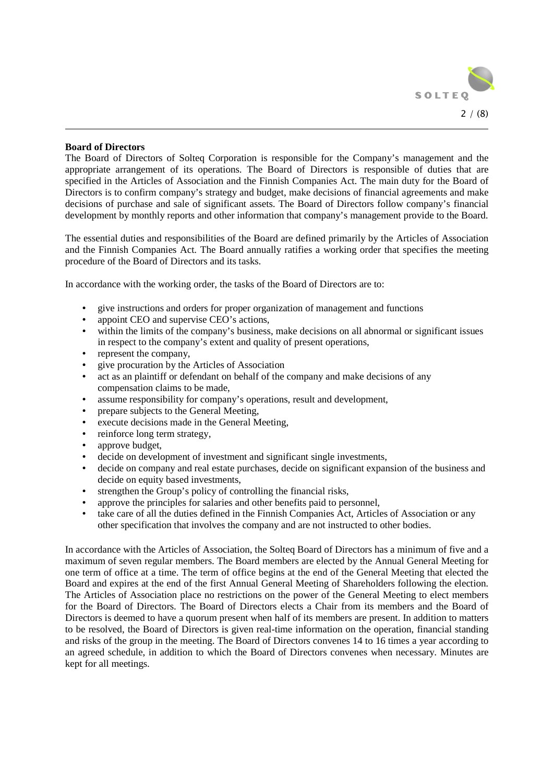

### **Board of Directors**

The Board of Directors of Solteq Corporation is responsible for the Company's management and the appropriate arrangement of its operations. The Board of Directors is responsible of duties that are specified in the Articles of Association and the Finnish Companies Act. The main duty for the Board of Directors is to confirm company's strategy and budget, make decisions of financial agreements and make decisions of purchase and sale of significant assets. The Board of Directors follow company's financial development by monthly reports and other information that company's management provide to the Board.

The essential duties and responsibilities of the Board are defined primarily by the Articles of Association and the Finnish Companies Act. The Board annually ratifies a working order that specifies the meeting procedure of the Board of Directors and its tasks.

In accordance with the working order, the tasks of the Board of Directors are to:

- give instructions and orders for proper organization of management and functions
- appoint CEO and supervise CEO's actions,
- within the limits of the company's business, make decisions on all abnormal or significant issues in respect to the company's extent and quality of present operations,
- represent the company,
- give procuration by the Articles of Association
- act as an plaintiff or defendant on behalf of the company and make decisions of any compensation claims to be made,
- assume responsibility for company's operations, result and development,
- prepare subjects to the General Meeting,
- execute decisions made in the General Meeting,
- reinforce long term strategy,
- approve budget,
- decide on development of investment and significant single investments,
- decide on company and real estate purchases, decide on significant expansion of the business and decide on equity based investments.
- strengthen the Group's policy of controlling the financial risks,
- approve the principles for salaries and other benefits paid to personnel,
- take care of all the duties defined in the Finnish Companies Act, Articles of Association or any other specification that involves the company and are not instructed to other bodies.

In accordance with the Articles of Association, the Solteq Board of Directors has a minimum of five and a maximum of seven regular members. The Board members are elected by the Annual General Meeting for one term of office at a time. The term of office begins at the end of the General Meeting that elected the Board and expires at the end of the first Annual General Meeting of Shareholders following the election. The Articles of Association place no restrictions on the power of the General Meeting to elect members for the Board of Directors. The Board of Directors elects a Chair from its members and the Board of Directors is deemed to have a quorum present when half of its members are present. In addition to matters to be resolved, the Board of Directors is given real-time information on the operation, financial standing and risks of the group in the meeting. The Board of Directors convenes 14 to 16 times a year according to an agreed schedule, in addition to which the Board of Directors convenes when necessary. Minutes are kept for all meetings.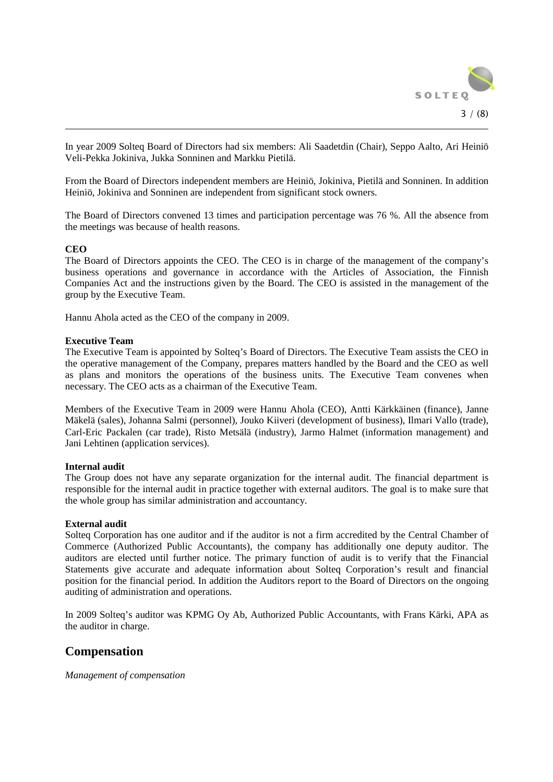

In year 2009 Solteq Board of Directors had six members: Ali Saadetdin (Chair), Seppo Aalto, Ari Heiniö Veli-Pekka Jokiniva, Jukka Sonninen and Markku Pietilä.

From the Board of Directors independent members are Heiniö, Jokiniva, Pietilä and Sonninen. In addition Heiniö, Jokiniva and Sonninen are independent from significant stock owners.

The Board of Directors convened 13 times and participation percentage was 76 %. All the absence from the meetings was because of health reasons.

#### **CEO**

The Board of Directors appoints the CEO. The CEO is in charge of the management of the company's business operations and governance in accordance with the Articles of Association, the Finnish Companies Act and the instructions given by the Board. The CEO is assisted in the management of the group by the Executive Team.

Hannu Ahola acted as the CEO of the company in 2009.

### **Executive Team**

The Executive Team is appointed by Solteq's Board of Directors. The Executive Team assists the CEO in the operative management of the Company, prepares matters handled by the Board and the CEO as well as plans and monitors the operations of the business units. The Executive Team convenes when necessary. The CEO acts as a chairman of the Executive Team.

Members of the Executive Team in 2009 were Hannu Ahola (CEO), Antti Kärkkäinen (finance), Janne Mäkelä (sales), Johanna Salmi (personnel), Jouko Kiiveri (development of business), Ilmari Vallo (trade), Carl-Eric Packalen (car trade), Risto Metsälä (industry), Jarmo Halmet (information management) and Jani Lehtinen (application services).

#### **Internal audit**

The Group does not have any separate organization for the internal audit. The financial department is responsible for the internal audit in practice together with external auditors. The goal is to make sure that the whole group has similar administration and accountancy.

#### **External audit**

Solteq Corporation has one auditor and if the auditor is not a firm accredited by the Central Chamber of Commerce (Authorized Public Accountants), the company has additionally one deputy auditor. The auditors are elected until further notice. The primary function of audit is to verify that the Financial Statements give accurate and adequate information about Solteq Corporation's result and financial position for the financial period. In addition the Auditors report to the Board of Directors on the ongoing auditing of administration and operations.

In 2009 Solteq's auditor was KPMG Oy Ab, Authorized Public Accountants, with Frans Kärki, APA as the auditor in charge.

# **Compensation**

*Management of compensation*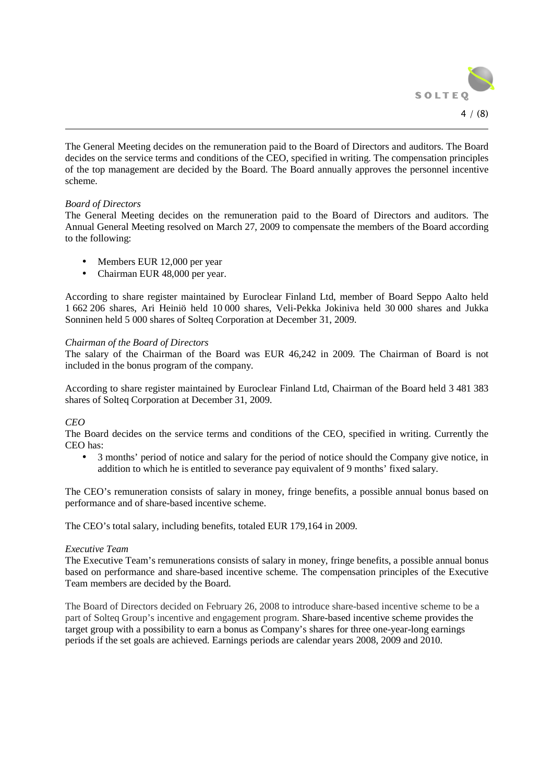

The General Meeting decides on the remuneration paid to the Board of Directors and auditors. The Board decides on the service terms and conditions of the CEO, specified in writing. The compensation principles of the top management are decided by the Board. The Board annually approves the personnel incentive scheme.

### *Board of Directors*

The General Meeting decides on the remuneration paid to the Board of Directors and auditors. The Annual General Meeting resolved on March 27, 2009 to compensate the members of the Board according to the following:

- Members EUR 12,000 per year
- Chairman EUR 48,000 per year.

According to share register maintained by Euroclear Finland Ltd, member of Board Seppo Aalto held 1 662 206 shares, Ari Heiniö held 10 000 shares, Veli-Pekka Jokiniva held 30 000 shares and Jukka Sonninen held 5 000 shares of Solteq Corporation at December 31, 2009.

### *Chairman of the Board of Directors*

The salary of the Chairman of the Board was EUR 46,242 in 2009. The Chairman of Board is not included in the bonus program of the company.

According to share register maintained by Euroclear Finland Ltd, Chairman of the Board held 3 481 383 shares of Solteq Corporation at December 31, 2009.

# *CEO*

The Board decides on the service terms and conditions of the CEO, specified in writing. Currently the CEO has:

• 3 months' period of notice and salary for the period of notice should the Company give notice, in addition to which he is entitled to severance pay equivalent of 9 months' fixed salary.

The CEO's remuneration consists of salary in money, fringe benefits, a possible annual bonus based on performance and of share-based incentive scheme.

The CEO's total salary, including benefits, totaled EUR 179,164 in 2009.

#### *Executive Team*

The Executive Team's remunerations consists of salary in money, fringe benefits, a possible annual bonus based on performance and share-based incentive scheme. The compensation principles of the Executive Team members are decided by the Board.

The Board of Directors decided on February 26, 2008 to introduce share-based incentive scheme to be a part of Solteq Group's incentive and engagement program. Share-based incentive scheme provides the target group with a possibility to earn a bonus as Company's shares for three one-year-long earnings periods if the set goals are achieved. Earnings periods are calendar years 2008, 2009 and 2010.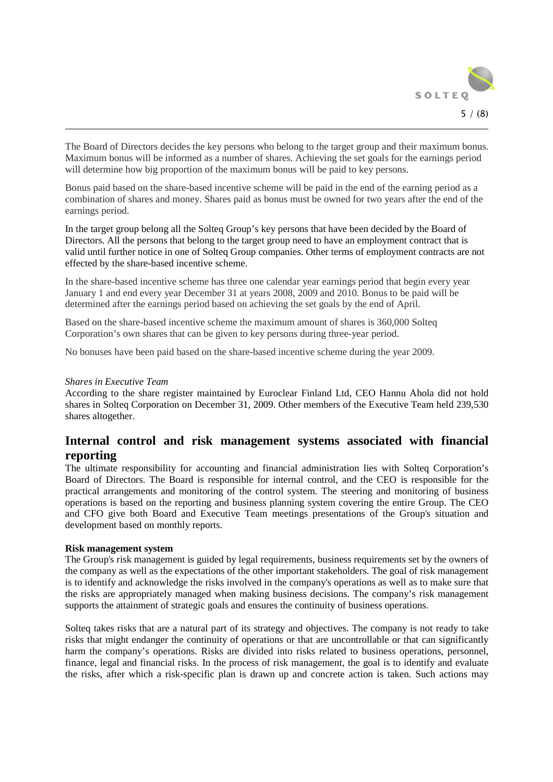

The Board of Directors decides the key persons who belong to the target group and their maximum bonus. Maximum bonus will be informed as a number of shares. Achieving the set goals for the earnings period will determine how big proportion of the maximum bonus will be paid to key persons.

Bonus paid based on the share-based incentive scheme will be paid in the end of the earning period as a combination of shares and money. Shares paid as bonus must be owned for two years after the end of the earnings period.

In the target group belong all the Solteq Group's key persons that have been decided by the Board of Directors. All the persons that belong to the target group need to have an employment contract that is valid until further notice in one of Solteq Group companies. Other terms of employment contracts are not effected by the share-based incentive scheme.

In the share-based incentive scheme has three one calendar year earnings period that begin every year January 1 and end every year December 31 at years 2008, 2009 and 2010. Bonus to be paid will be determined after the earnings period based on achieving the set goals by the end of April.

Based on the share-based incentive scheme the maximum amount of shares is 360,000 Solteq Corporation's own shares that can be given to key persons during three-year period.

No bonuses have been paid based on the share-based incentive scheme during the year 2009.

#### *Shares in Executive Team*

According to the share register maintained by Euroclear Finland Ltd, CEO Hannu Ahola did not hold shares in Solteq Corporation on December 31, 2009. Other members of the Executive Team held 239,530 shares altogether.

# **Internal control and risk management systems associated with financial reporting**

The ultimate responsibility for accounting and financial administration lies with Solteq Corporation's Board of Directors. The Board is responsible for internal control, and the CEO is responsible for the practical arrangements and monitoring of the control system. The steering and monitoring of business operations is based on the reporting and business planning system covering the entire Group. The CEO and CFO give both Board and Executive Team meetings presentations of the Group's situation and development based on monthly reports.

#### **Risk management system**

The Group's risk management is guided by legal requirements, business requirements set by the owners of the company as well as the expectations of the other important stakeholders. The goal of risk management is to identify and acknowledge the risks involved in the company's operations as well as to make sure that the risks are appropriately managed when making business decisions. The company's risk management supports the attainment of strategic goals and ensures the continuity of business operations.

Solteq takes risks that are a natural part of its strategy and objectives. The company is not ready to take risks that might endanger the continuity of operations or that are uncontrollable or that can significantly harm the company's operations. Risks are divided into risks related to business operations, personnel, finance, legal and financial risks. In the process of risk management, the goal is to identify and evaluate the risks, after which a risk-specific plan is drawn up and concrete action is taken. Such actions may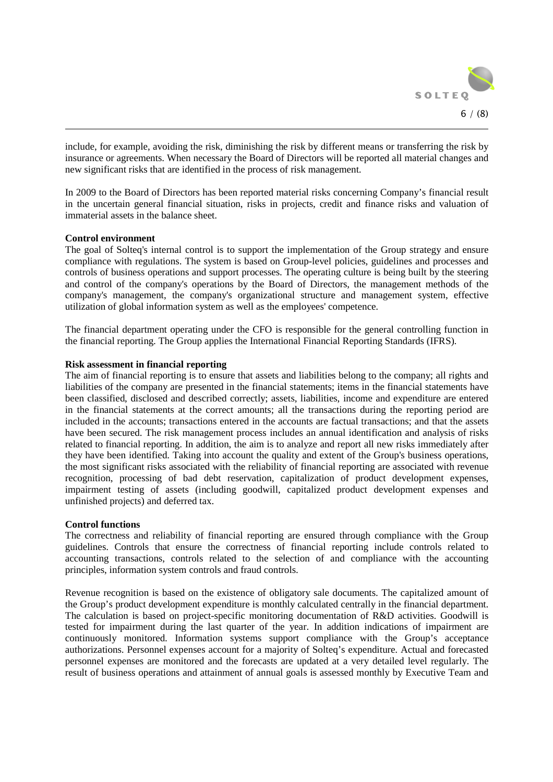

include, for example, avoiding the risk, diminishing the risk by different means or transferring the risk by insurance or agreements. When necessary the Board of Directors will be reported all material changes and new significant risks that are identified in the process of risk management.

In 2009 to the Board of Directors has been reported material risks concerning Company's financial result in the uncertain general financial situation, risks in projects, credit and finance risks and valuation of immaterial assets in the balance sheet.

### **Control environment**

The goal of Solteq's internal control is to support the implementation of the Group strategy and ensure compliance with regulations. The system is based on Group-level policies, guidelines and processes and controls of business operations and support processes. The operating culture is being built by the steering and control of the company's operations by the Board of Directors, the management methods of the company's management, the company's organizational structure and management system, effective utilization of global information system as well as the employees' competence.

The financial department operating under the CFO is responsible for the general controlling function in the financial reporting. The Group applies the International Financial Reporting Standards (IFRS).

### **Risk assessment in financial reporting**

The aim of financial reporting is to ensure that assets and liabilities belong to the company; all rights and liabilities of the company are presented in the financial statements; items in the financial statements have been classified, disclosed and described correctly; assets, liabilities, income and expenditure are entered in the financial statements at the correct amounts; all the transactions during the reporting period are included in the accounts; transactions entered in the accounts are factual transactions; and that the assets have been secured. The risk management process includes an annual identification and analysis of risks related to financial reporting. In addition, the aim is to analyze and report all new risks immediately after they have been identified. Taking into account the quality and extent of the Group's business operations, the most significant risks associated with the reliability of financial reporting are associated with revenue recognition, processing of bad debt reservation, capitalization of product development expenses, impairment testing of assets (including goodwill, capitalized product development expenses and unfinished projects) and deferred tax.

### **Control functions**

The correctness and reliability of financial reporting are ensured through compliance with the Group guidelines. Controls that ensure the correctness of financial reporting include controls related to accounting transactions, controls related to the selection of and compliance with the accounting principles, information system controls and fraud controls.

Revenue recognition is based on the existence of obligatory sale documents. The capitalized amount of the Group's product development expenditure is monthly calculated centrally in the financial department. The calculation is based on project-specific monitoring documentation of R&D activities. Goodwill is tested for impairment during the last quarter of the year. In addition indications of impairment are continuously monitored. Information systems support compliance with the Group's acceptance authorizations. Personnel expenses account for a majority of Solteq's expenditure. Actual and forecasted personnel expenses are monitored and the forecasts are updated at a very detailed level regularly. The result of business operations and attainment of annual goals is assessed monthly by Executive Team and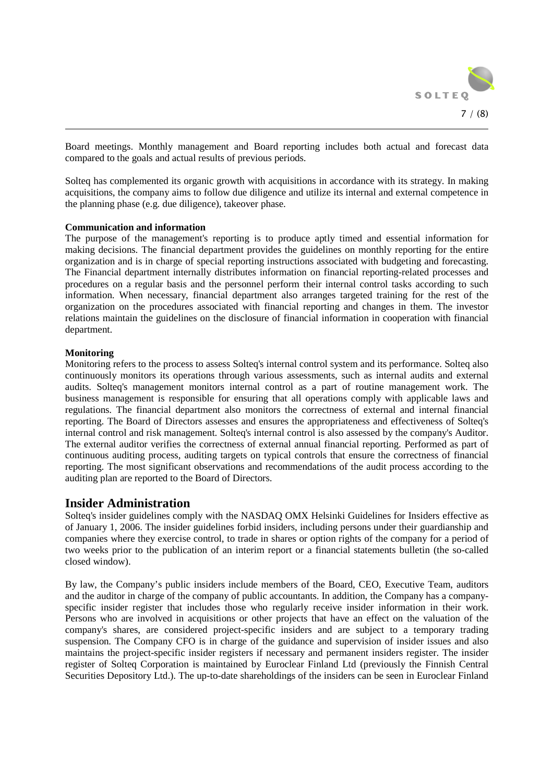

Board meetings. Monthly management and Board reporting includes both actual and forecast data compared to the goals and actual results of previous periods.

Solteq has complemented its organic growth with acquisitions in accordance with its strategy. In making acquisitions, the company aims to follow due diligence and utilize its internal and external competence in the planning phase (e.g. due diligence), takeover phase.

#### **Communication and information**

The purpose of the management's reporting is to produce aptly timed and essential information for making decisions. The financial department provides the guidelines on monthly reporting for the entire organization and is in charge of special reporting instructions associated with budgeting and forecasting. The Financial department internally distributes information on financial reporting-related processes and procedures on a regular basis and the personnel perform their internal control tasks according to such information. When necessary, financial department also arranges targeted training for the rest of the organization on the procedures associated with financial reporting and changes in them. The investor relations maintain the guidelines on the disclosure of financial information in cooperation with financial department.

### **Monitoring**

Monitoring refers to the process to assess Solteq's internal control system and its performance. Solteq also continuously monitors its operations through various assessments, such as internal audits and external audits. Solteq's management monitors internal control as a part of routine management work. The business management is responsible for ensuring that all operations comply with applicable laws and regulations. The financial department also monitors the correctness of external and internal financial reporting. The Board of Directors assesses and ensures the appropriateness and effectiveness of Solteq's internal control and risk management. Solteq's internal control is also assessed by the company's Auditor. The external auditor verifies the correctness of external annual financial reporting. Performed as part of continuous auditing process, auditing targets on typical controls that ensure the correctness of financial reporting. The most significant observations and recommendations of the audit process according to the auditing plan are reported to the Board of Directors.

# **Insider Administration**

Solteq's insider guidelines comply with the NASDAQ OMX Helsinki Guidelines for Insiders effective as of January 1, 2006. The insider guidelines forbid insiders, including persons under their guardianship and companies where they exercise control, to trade in shares or option rights of the company for a period of two weeks prior to the publication of an interim report or a financial statements bulletin (the so-called closed window).

By law, the Company's public insiders include members of the Board, CEO, Executive Team, auditors and the auditor in charge of the company of public accountants. In addition, the Company has a companyspecific insider register that includes those who regularly receive insider information in their work. Persons who are involved in acquisitions or other projects that have an effect on the valuation of the company's shares, are considered project-specific insiders and are subject to a temporary trading suspension. The Company CFO is in charge of the guidance and supervision of insider issues and also maintains the project-specific insider registers if necessary and permanent insiders register. The insider register of Solteq Corporation is maintained by Euroclear Finland Ltd (previously the Finnish Central Securities Depository Ltd.). The up-to-date shareholdings of the insiders can be seen in Euroclear Finland